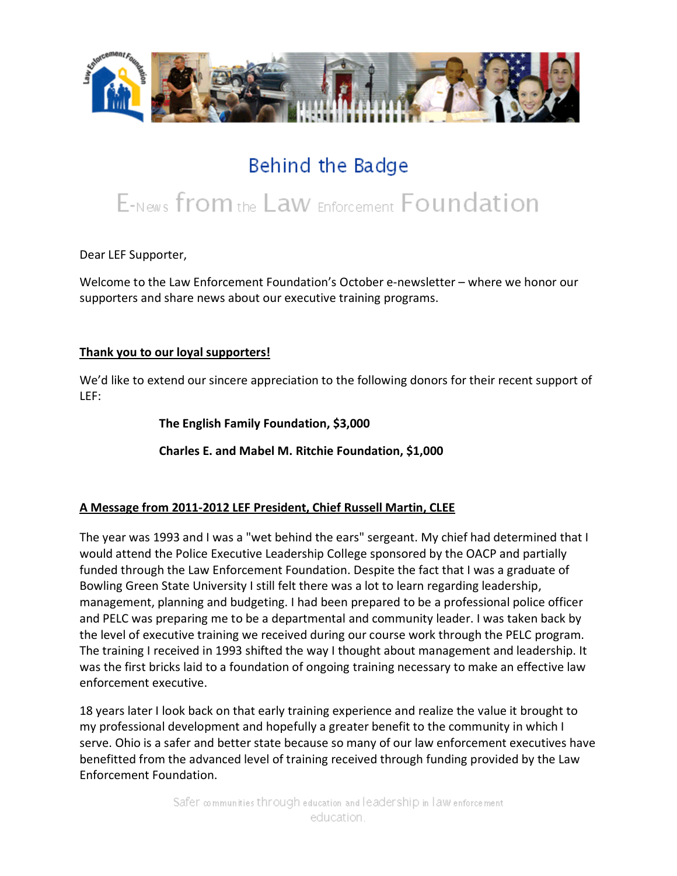

# Behind the Badge

# E-News from the Law Enforcement Foundation

Dear LEF Supporter,

Welcome to the Law Enforcement Foundation's October e-newsletter – where we honor our supporters and share news about our executive training programs.

#### **Thank you to our loyal supporters!**

We'd like to extend our sincere appreciation to the following donors for their recent support of LEF:

**The English Family Foundation, \$3,000**

**Charles E. and Mabel M. Ritchie Foundation, \$1,000**

#### **A Message from 2011-2012 LEF President, Chief Russell Martin, CLEE**

The year was 1993 and I was a "wet behind the ears" sergeant. My chief had determined that I would attend the Police Executive Leadership College sponsored by the OACP and partially funded through the Law Enforcement Foundation. Despite the fact that I was a graduate of Bowling Green State University I still felt there was a lot to learn regarding leadership, management, planning and budgeting. I had been prepared to be a professional police officer and PELC was preparing me to be a departmental and community leader. I was taken back by the level of executive training we received during our course work through the PELC program. The training I received in 1993 shifted the way I thought about management and leadership. It was the first bricks laid to a foundation of ongoing training necessary to make an effective law enforcement executive.

18 years later I look back on that early training experience and realize the value it brought to my professional development and hopefully a greater benefit to the community in which I serve. Ohio is a safer and better state because so many of our law enforcement executives have benefitted from the advanced level of training received through funding provided by the Law Enforcement Foundation.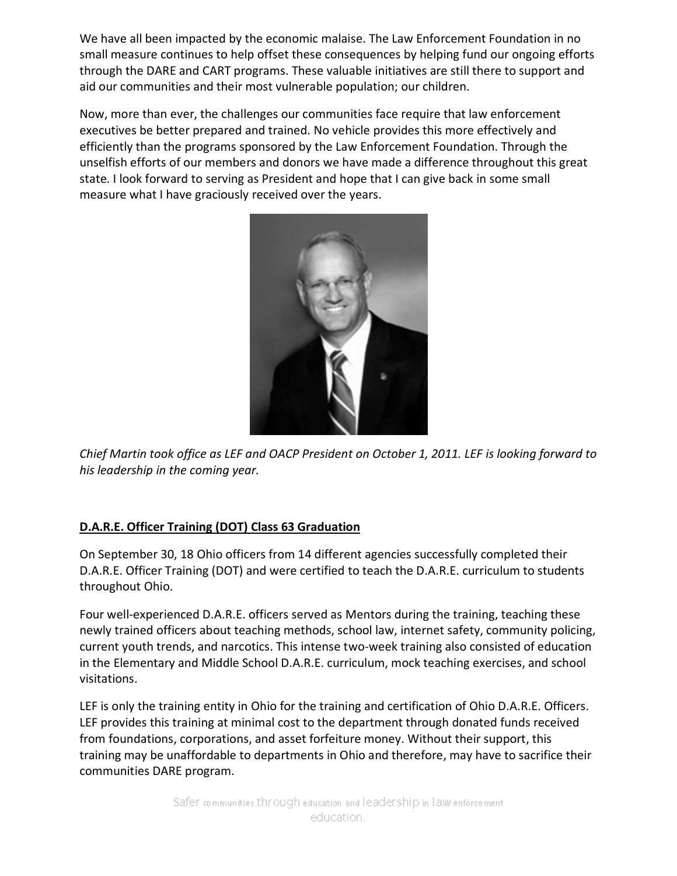We have all been impacted by the economic malaise. The Law Enforcement Foundation in no small measure continues to help offset these consequences by helping fund our ongoing efforts through the DARE and CART programs. These valuable initiatives are still there to support and aid our communities and their most vulnerable population; our children.

Now, more than ever, the challenges our communities face require that law enforcement executives be better prepared and trained. No vehicle provides this more effectively and efficiently than the programs sponsored by the Law Enforcement Foundation. Through the unselfish efforts of our members and donors we have made a difference throughout this great state. I look forward to serving as President and hope that I can give back in some small measure what I have graciously received over the years.



*Chief Martin took office as LEF and OACP President on October 1, 2011. LEF is looking forward to his leadership in the coming year.*

## **D.A.R.E. Officer Training (DOT) Class 63 Graduation**

On September 30, 18 Ohio officers from 14 different agencies successfully completed their D.A.R.E. Officer Training (DOT) and were certified to teach the D.A.R.E. curriculum to students throughout Ohio.

Four well-experienced D.A.R.E. officers served as Mentors during the training, teaching these newly trained officers about teaching methods, school law, internet safety, community policing, current youth trends, and narcotics. This intense two-week training also consisted of education in the Elementary and Middle School D.A.R.E. curriculum, mock teaching exercises, and school visitations.

LEF is only the training entity in Ohio for the training and certification of Ohio D.A.R.E. Officers. LEF provides this training at minimal cost to the department through donated funds received from foundations, corporations, and asset forfeiture money. Without their support, this training may be unaffordable to departments in Ohio and therefore, may have to sacrifice their communities DARE program.